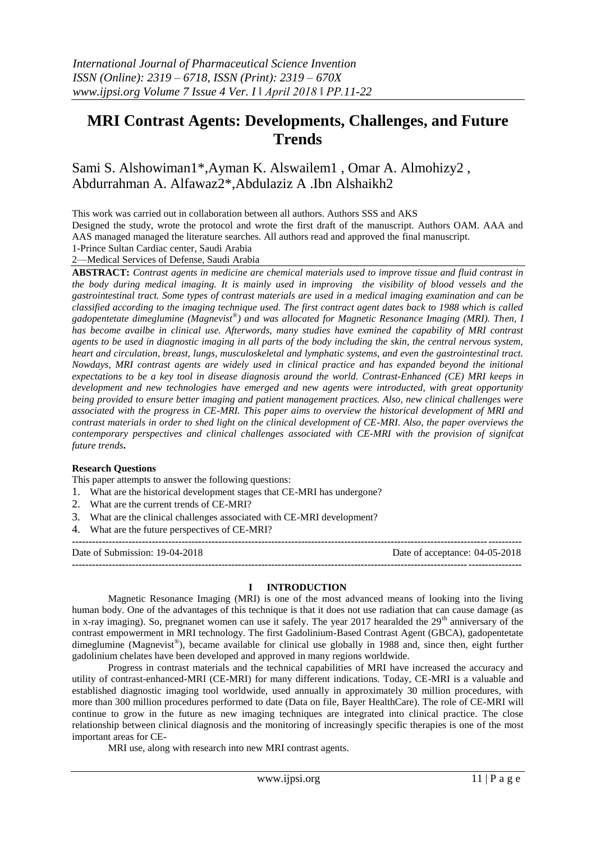# **MRI Contrast Agents: Developments, Challenges, and Future Trends**

## Sami S. Alshowiman1\*,Ayman K. Alswailem1 , Omar A. Almohizy2 , Abdurrahman A. Alfawaz2\*,Abdulaziz A .Ibn Alshaikh2

This work was carried out in collaboration between all authors. Authors SSS and AKS

Designed the study, wrote the protocol and wrote the first draft of the manuscript. Authors OAM. AAA and AAS managed managed the literature searches. All authors read and approved the final manuscript.

#### 1-Prince Sultan Cardiac center, Saudi Arabia 2—Medical Services of Defense, Saudi Arabia

**ABSTRACT:** *Contrast agents in medicine are chemical materials used to improve tissue and fluid contrast in the body during medical imaging. It is mainly used in improving the visibility of blood vessels and the gastrointestinal tract. Some types of contrast materials are used in a medical imaging examination and can be classified according to the imaging technique used. The first contract agent dates back to 1988 which is called gadopentetate dimeglumine (Magnevist® ) and was allocated for Magnetic Resonance Imaging (MRI). Then, I has become availbe in clinical use. Afterwords, many studies have exmined the capability of MRI contrast*  agents to be used in diagnostic imaging in all parts of the body including the skin, the central nervous system, *heart and circulation, breast, lungs, musculoskeletal and lymphatic systems, and even the gastrointestinal tract. Nowdays, MRI contrast agents are widely used in clinical practice and has expanded beyond the initional expectations to be a key tool in disease diagnosis around the world. Contrast-Enhanced (CE) MRI keeps in development and new technologies have emerged and new agents were introducted, with great opportunity being provided to ensure better imaging and patient management practices. Also, new clinical challenges were associated with the progress in CE-MRI. This paper aims to overview the historical development of MRI and contrast materials in order to shed light on the clinical development of CE-MRI. Also, the paper overviews the contemporary perspectives and clinical challenges associated with CE-MRI with the provision of signifcat future trends***.** 

#### **Research Questions**

This paper attempts to answer the following questions:

- 1. What are the historical development stages that CE-MRI has undergone?
- 2. What are the current trends of CE-MRI?
- 3. What are the clinical challenges associated with CE-MRI development?
- 4. What are the future perspectives of CE-MRI?

| Date of Submission: 19-04-2018 | Date of acceptance: 04-05-2018 |
|--------------------------------|--------------------------------|
|                                |                                |

#### **I INTRODUCTION**

Magnetic Resonance Imaging (MRI) is one of the most advanced means of looking into the living human body. One of the advantages of this technique is that it does not use radiation that can cause damage (as in x-ray imaging). So, pregnanet women can use it safely. The year 2017 hearalded the  $29<sup>th</sup>$  anniversary of the contrast empowerment in MRI technology. The first Gadolinium-Based Contrast Agent (GBCA), gadopentetate dimeglumine (Magnevist®), became available for clinical use globally in 1988 and, since then, eight further gadolinium chelates have been developed and approved in many regions worldwide.

Progress in contrast materials and the technical capabilities of MRI have increased the accuracy and utility of contrast-enhanced-MRI (CE-MRI) for many different indications. Today, CE-MRI is a valuable and established diagnostic imaging tool worldwide, used annually in approximately 30 million procedures, with more than 300 million procedures performed to date (Data on file, Bayer HealthCare). The role of CE-MRI will continue to grow in the future as new imaging techniques are integrated into clinical practice. The close relationship between clinical diagnosis and the monitoring of increasingly specific therapies is one of the most important areas for CE-

MRI use, along with research into new MRI contrast agents.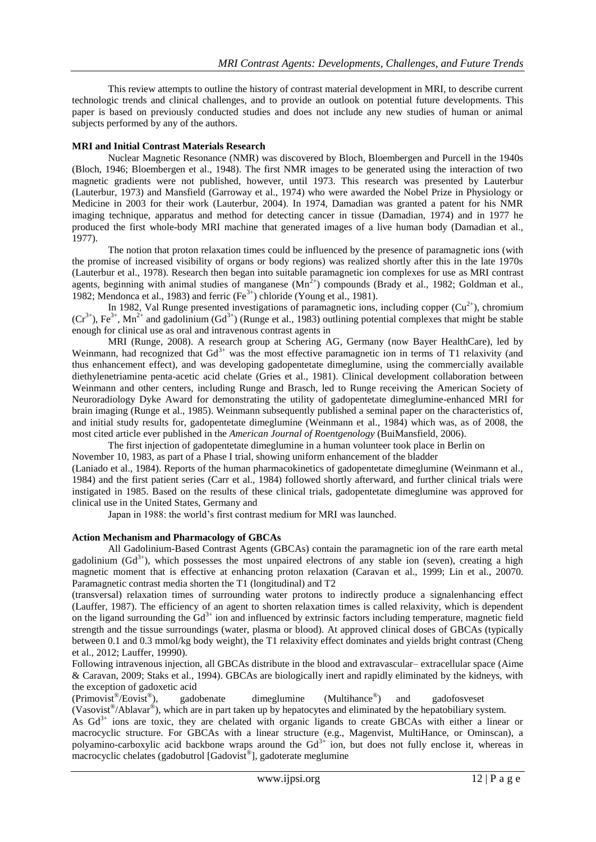This review attempts to outline the history of contrast material development in MRI, to describe current technologic trends and clinical challenges, and to provide an outlook on potential future developments. This paper is based on previously conducted studies and does not include any new studies of human or animal subjects performed by any of the authors.

#### **MRI and Initial Contrast Materials Research**

Nuclear Magnetic Resonance (NMR) was discovered by Bloch, Bloembergen and Purcell in the 1940s (Bloch, 1946; Bloembergen et al., 1948). The first NMR images to be generated using the interaction of two magnetic gradients were not published, however, until 1973. This research was presented by Lauterbur (Lauterbur, 1973) and Mansfield (Garroway et al., 1974) who were awarded the Nobel Prize in Physiology or Medicine in 2003 for their work (Lauterbur, 2004). In 1974, Damadian was granted a patent for his NMR imaging technique, apparatus and method for detecting cancer in tissue (Damadian, 1974) and in 1977 he produced the first whole-body MRI machine that generated images of a live human body (Damadian et al., 1977).

The notion that proton relaxation times could be influenced by the presence of paramagnetic ions (with the promise of increased visibility of organs or body regions) was realized shortly after this in the late 1970s (Lauterbur et al., 1978). Research then began into suitable paramagnetic ion complexes for use as MRI contrast agents, beginning with animal studies of manganese  $(Mn^{2+})$  compounds (Brady et al., 1982; Goldman et al., 1982; Mendonca et al., 1983) and ferric  $(Fe<sup>3+</sup>)$  chloride (Young et al., 1981).

In 1982, Val Runge presented investigations of paramagnetic ions, including copper  $(Cu^{2+})$ , chromium  $(Cr^{3+})$ , Fe<sup>3+</sup>, Mn<sup>2+</sup> and gadolinium (Gd<sup>3+</sup>) (Runge et al., 1983) outlining potential complexes that might be stable enough for clinical use as oral and intravenous contrast agents in

MRI (Runge, 2008). A research group at Schering AG, Germany (now Bayer HealthCare), led by Weinmann, had recognized that Gd<sup>3+</sup> was the most effective paramagnetic ion in terms of T1 relaxivity (and thus enhancement effect), and was developing gadopentetate dimeglumine, using the commercially available diethylenetriamine penta-acetic acid chelate (Gries et al., 1981). Clinical development collaboration between Weinmann and other centers, including Runge and Brasch, led to Runge receiving the American Society of Neuroradiology Dyke Award for demonstrating the utility of gadopentetate dimeglumine-enhanced MRI for brain imaging (Runge et al., 1985). Weinmann subsequently published a seminal paper on the characteristics of, and initial study results for, gadopentetate dimeglumine (Weinmann et al., 1984) which was, as of 2008, the most cited article ever published in the *American Journal of Roentgenology* (BuiMansfield, 2006).

The first injection of gadopentetate dimeglumine in a human volunteer took place in Berlin on November 10, 1983, as part of a Phase I trial, showing uniform enhancement of the bladder

(Laniado et al., 1984). Reports of the human pharmacokinetics of gadopentetate dimeglumine (Weinmann et al., 1984) and the first patient series (Carr et al., 1984) followed shortly afterward, and further clinical trials were instigated in 1985. Based on the results of these clinical trials, gadopentetate dimeglumine was approved for clinical use in the United States, Germany and

Japan in 1988: the world's first contrast medium for MRI was launched.

#### **Action Mechanism and Pharmacology of GBCAs**

All Gadolinium-Based Contrast Agents (GBCAs) contain the paramagnetic ion of the rare earth metal gadolinium  $(\text{Gd}^{3+})$ , which possesses the most unpaired electrons of any stable ion (seven), creating a high magnetic moment that is effective at enhancing proton relaxation (Caravan et al., 1999; Lin et al., 20070. Paramagnetic contrast media shorten the T1 (longitudinal) and T2

(transversal) relaxation times of surrounding water protons to indirectly produce a signalenhancing effect (Lauffer, 1987). The efficiency of an agent to shorten relaxation times is called relaxivity, which is dependent on the ligand surrounding the  $Gd^{3+}$  ion and influenced by extrinsic factors including temperature, magnetic field strength and the tissue surroundings (water, plasma or blood). At approved clinical doses of GBCAs (typically between 0.1 and 0.3 mmol/kg body weight), the T1 relaxivity effect dominates and yields bright contrast (Cheng et al., 2012; Lauffer, 19990).

Following intravenous injection, all GBCAs distribute in the blood and extravascular– extracellular space (Aime & Caravan, 2009; Staks et al., 1994). GBCAs are biologically inert and rapidly eliminated by the kidneys, with the exception of gadoxetic acid

(Primovist® /Eovist® ), gadobenate dimeglumine (Multihance® ) and gadofosveset

(Vasovist® /Ablavar® ), which are in part taken up by hepatocytes and eliminated by the hepatobiliary system.

As  $Gd<sup>3+</sup>$  ions are toxic, they are chelated with organic ligands to create GBCAs with either a linear or macrocyclic structure. For GBCAs with a linear structure (e.g., Magenvist, MultiHance, or Ominscan), a polyamino-carboxylic acid backbone wraps around the  $Gd<sup>3+</sup>$  ion, but does not fully enclose it, whereas in  $\frac{1}{2}$  macrocyclic chelates (gadobutrol [Gadovist<sup>®</sup>], gadoterate meglumine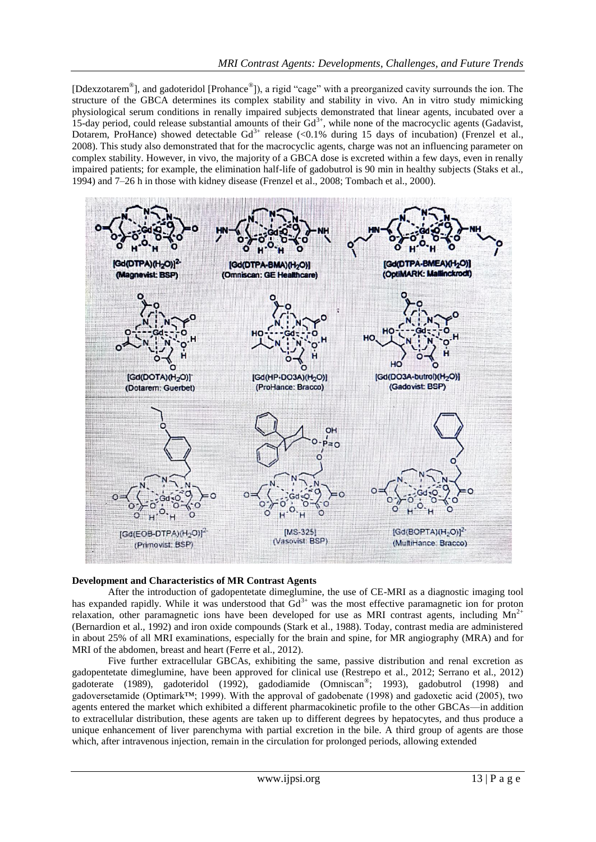[Ddexzotarem<sup>®</sup>], and gadoteridol [Prohance<sup>®</sup>]), a rigid "cage" with a preorganized cavity surrounds the ion. The structure of the GBCA determines its complex stability and stability in vivo. An in vitro study mimicking physiological serum conditions in renally impaired subjects demonstrated that linear agents, incubated over a 15-day period, could release substantial amounts of their  $Gd^{3+}$ , while none of the macrocyclic agents (Gadavist, Dotarem, ProHance) showed detectable Gd<sup>3+</sup> release (<0.1% during 15 days of incubation) (Frenzel et al., 2008). This study also demonstrated that for the macrocyclic agents, charge was not an influencing parameter on complex stability. However, in vivo, the majority of a GBCA dose is excreted within a few days, even in renally impaired patients; for example, the elimination half-life of gadobutrol is 90 min in healthy subjects (Staks et al., 1994) and 7–26 h in those with kidney disease (Frenzel et al., 2008; Tombach et al., 2000).



#### **Development and Characteristics of MR Contrast Agents**

After the introduction of gadopentetate dimeglumine, the use of CE-MRI as a diagnostic imaging tool has expanded rapidly. While it was understood that  $Gd<sup>3+</sup>$  was the most effective paramagnetic ion for proton relaxation, other paramagnetic ions have been developed for use as MRI contrast agents, including  $Mn^{2+}$ (Bernardion et al., 1992) and iron oxide compounds (Stark et al., 1988). Today, contrast media are administered in about 25% of all MRI examinations, especially for the brain and spine, for MR angiography (MRA) and for MRI of the abdomen, breast and heart (Ferre et al., 2012).

Five further extracellular GBCAs, exhibiting the same, passive distribution and renal excretion as gadopentetate dimeglumine, have been approved for clinical use (Restrepo et al., 2012; Serrano et al., 2012) gadoterate (1989), gadoteridol (1992), gadodiamide (Omniscan® ; 1993), gadobutrol (1998) and gadoversetamide (Optimark™; 1999). With the approval of gadobenate (1998) and gadoxetic acid (2005), two agents entered the market which exhibited a different pharmacokinetic profile to the other GBCAs—in addition to extracellular distribution, these agents are taken up to different degrees by hepatocytes, and thus produce a unique enhancement of liver parenchyma with partial excretion in the bile. A third group of agents are those which, after intravenous injection, remain in the circulation for prolonged periods, allowing extended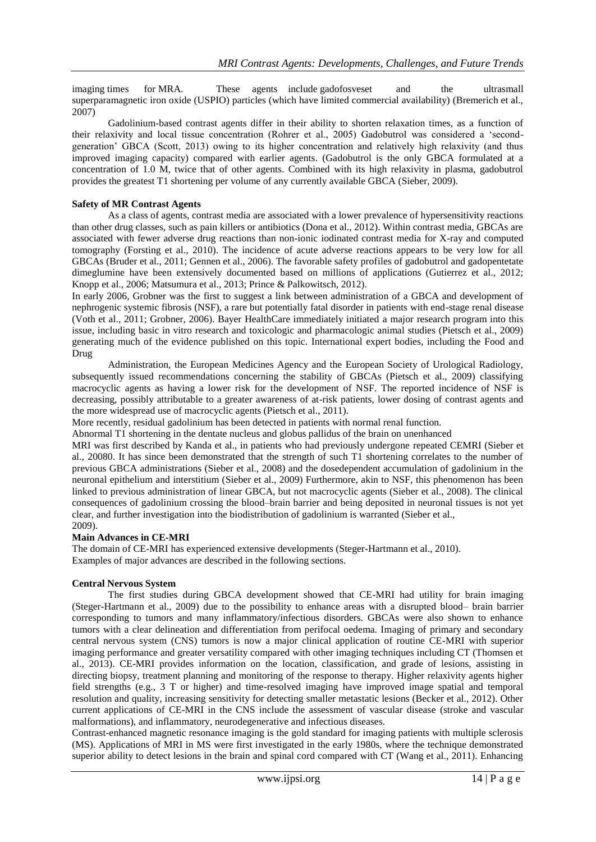imaging times for MRA. These agents include gadofosveset and the ultrasmall superparamagnetic iron oxide (USPIO) particles (which have limited commercial availability) (Bremerich et al., 2007)

Gadolinium-based contrast agents differ in their ability to shorten relaxation times, as a function of their relaxivity and local tissue concentration (Rohrer et al., 2005) Gadobutrol was considered a 'secondgeneration' GBCA (Scott, 2013) owing to its higher concentration and relatively high relaxivity (and thus improved imaging capacity) compared with earlier agents. (Gadobutrol is the only GBCA formulated at a concentration of 1.0 M, twice that of other agents. Combined with its high relaxivity in plasma, gadobutrol provides the greatest T1 shortening per volume of any currently available GBCA (Sieber, 2009).

## **Safety of MR Contrast Agents**

As a class of agents, contrast media are associated with a lower prevalence of hypersensitivity reactions than other drug classes, such as pain killers or antibiotics (Dona et al., 2012). Within contrast media, GBCAs are associated with fewer adverse drug reactions than non-ionic iodinated contrast media for X-ray and computed tomography (Forsting et al., 2010). The incidence of acute adverse reactions appears to be very low for all GBCAs (Bruder et al., 2011; Gennen et al., 2006). The favorable safety profiles of gadobutrol and gadopentetate dimeglumine have been extensively documented based on millions of applications (Gutierrez et al., 2012; Knopp et al., 2006; Matsumura et al., 2013; Prince & Palkowitsch, 2012).

In early 2006, Grobner was the first to suggest a link between administration of a GBCA and development of nephrogenic systemic fibrosis (NSF), a rare but potentially fatal disorder in patients with end-stage renal disease (Voth et al., 2011; Grobner, 2006). Bayer HealthCare immediately initiated a major research program into this issue, including basic in vitro research and toxicologic and pharmacologic animal studies (Pietsch et al., 2009) generating much of the evidence published on this topic. International expert bodies, including the Food and Drug

Administration, the European Medicines Agency and the European Society of Urological Radiology, subsequently issued recommendations concerning the stability of GBCAs (Pietsch et al., 2009) classifying macrocyclic agents as having a lower risk for the development of NSF. The reported incidence of NSF is decreasing, possibly attributable to a greater awareness of at-risk patients, lower dosing of contrast agents and the more widespread use of macrocyclic agents (Pietsch et al., 2011).

More recently, residual gadolinium has been detected in patients with normal renal function.

Abnormal T1 shortening in the dentate nucleus and globus pallidus of the brain on unenhanced

MRI was first described by Kanda et al., in patients who had previously undergone repeated CEMRI (Sieber et al., 20080. It has since been demonstrated that the strength of such T1 shortening correlates to the number of previous GBCA administrations (Sieber et al., 2008) and the dosedependent accumulation of gadolinium in the neuronal epithelium and interstitium (Sieber et al., 2009) Furthermore, akin to NSF, this phenomenon has been linked to previous administration of linear GBCA, but not macrocyclic agents (Sieber et al., 2008). The clinical consequences of gadolinium crossing the blood–brain barrier and being deposited in neuronal tissues is not yet clear, and further investigation into the biodistribution of gadolinium is warranted (Sieber et al., 2009).

#### **Main Advances in CE-MRI**

The domain of CE-MRI has experienced extensive developments (Steger-Hartmann et al., 2010). Examples of major advances are described in the following sections.

#### **Central Nervous System**

The first studies during GBCA development showed that CE-MRI had utility for brain imaging (Steger-Hartmann et al., 2009) due to the possibility to enhance areas with a disrupted blood– brain barrier corresponding to tumors and many inflammatory/infectious disorders. GBCAs were also shown to enhance tumors with a clear delineation and differentiation from perifocal oedema. Imaging of primary and secondary central nervous system (CNS) tumors is now a major clinical application of routine CE-MRI with superior imaging performance and greater versatility compared with other imaging techniques including CT (Thomsen et al., 2013). CE-MRI provides information on the location, classification, and grade of lesions, assisting in directing biopsy, treatment planning and monitoring of the response to therapy. Higher relaxivity agents higher field strengths (e.g., 3 T or higher) and time-resolved imaging have improved image spatial and temporal resolution and quality, increasing sensitivity for detecting smaller metastatic lesions (Becker et al., 2012). Other current applications of CE-MRI in the CNS include the assessment of vascular disease (stroke and vascular malformations), and inflammatory, neurodegenerative and infectious diseases.

Contrast-enhanced magnetic resonance imaging is the gold standard for imaging patients with multiple sclerosis (MS). Applications of MRI in MS were first investigated in the early 1980s, where the technique demonstrated superior ability to detect lesions in the brain and spinal cord compared with CT (Wang et al., 2011). Enhancing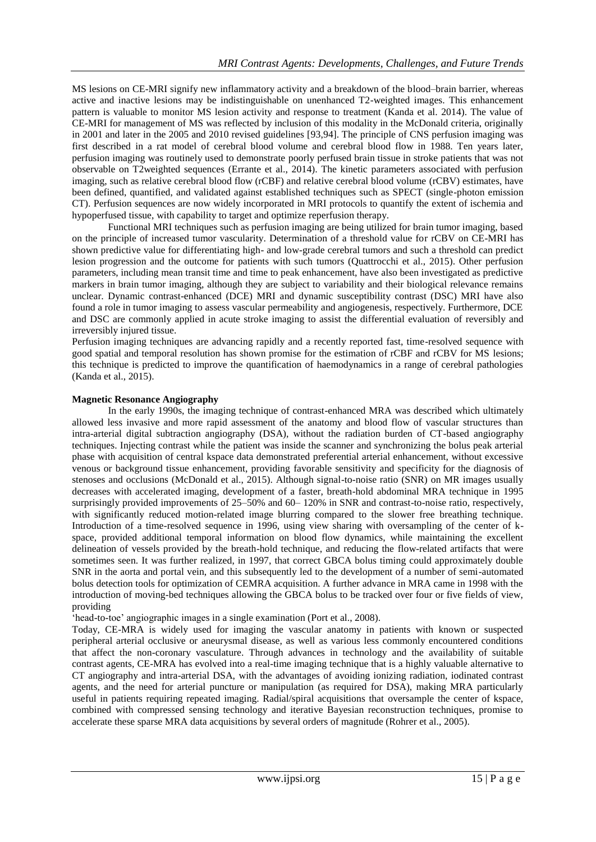MS lesions on CE-MRI signify new inflammatory activity and a breakdown of the blood–brain barrier, whereas active and inactive lesions may be indistinguishable on unenhanced T2-weighted images. This enhancement pattern is valuable to monitor MS lesion activity and response to treatment (Kanda et al. 2014). The value of CE-MRI for management of MS was reflected by inclusion of this modality in the McDonald criteria, originally in 2001 and later in the 2005 and 2010 revised guidelines [\[93,9](https://www.ncbi.nlm.nih.gov/pmc/articles/PMC4735235/#CR93)[4\].](https://www.ncbi.nlm.nih.gov/pmc/articles/PMC4735235/#CR94) The principle of CNS perfusion imaging was first described in a rat model of cerebral blood volume and cerebral blood flow in 1988. Ten years later, perfusion imaging was routinely used to demonstrate poorly perfused brain tissue in stroke patients that was not observable on T2weighted sequences (Errante et al., 2014). The kinetic parameters associated with perfusion imaging, such as relative cerebral blood flow (rCBF) and relative cerebral blood volume (rCBV) estimates, have been defined, quantified, and validated against established techniques such as SPECT (single-photon emission CT). Perfusion sequences are now widely incorporated in MRI protocols to quantify the extent of ischemia and hypoperfused tissue, with capability to target and optimize reperfusion therapy.

Functional MRI techniques such as perfusion imaging are being utilized for brain tumor imaging, based on the principle of increased tumor vascularity. Determination of a threshold value for rCBV on CE-MRI has shown predictive value for differentiating high- and low-grade cerebral tumors and such a threshold can predict lesion progression and the outcome for patients with such tumors (Quattrocchi et al., 2015). Other perfusion parameters, including mean transit time and time to peak enhancement, have also been investigated as predictive markers in brain tumor imaging, although they are subject to variability and their biological relevance remains unclear. Dynamic contrast-enhanced (DCE) MRI and dynamic susceptibility contrast (DSC) MRI have also found a role in tumor imaging to assess vascular permeability and angiogenesis, respectively. Furthermore, DCE and DSC are commonly applied in acute stroke imaging to assist the differential evaluation of reversibly and irreversibly injured tissue.

Perfusion imaging techniques are advancing rapidly and a recently reported fast, time-resolved sequence with good spatial and temporal resolution has shown promise for the estimation of rCBF and rCBV for MS lesions; this technique is predicted to improve the quantification of haemodynamics in a range of cerebral pathologies (Kanda et al., 2015).

## **Magnetic Resonance Angiography**

In the early 1990s, the imaging technique of contrast-enhanced MRA was described which ultimately allowed less invasive and more rapid assessment of the anatomy and blood flow of vascular structures than intra-arterial digital subtraction angiography (DSA), without the radiation burden of CT-based angiography techniques. Injecting contrast while the patient was inside the scanner and synchronizing the bolus peak arterial phase with acquisition of central kspace data demonstrated preferential arterial enhancement, without excessive venous or background tissue enhancement, providing favorable sensitivity and specificity for the diagnosis of stenoses and occlusions (McDonald et al., 2015). Although signal-to-noise ratio (SNR) on MR images usually decreases with accelerated imaging, development of a faster, breath-hold abdominal MRA technique in 1995 surprisingly provided improvements of 25–50% and 60– 120% in SNR and contrast-to-noise ratio, respectively, with significantly reduced motion-related image blurring compared to the slower free breathing technique. Introduction of a time-resolved sequence in 1996, using view sharing with oversampling of the center of kspace, provided additional temporal information on blood flow dynamics, while maintaining the excellent delineation of vessels provided by the breath-hold technique, and reducing the flow-related artifacts that were sometimes seen. It was further realized, in 1997, that correct GBCA bolus timing could approximately double SNR in the aorta and portal vein, and this subsequently led to the development of a number of semi-automated bolus detection tools for optimization of CEMRA acquisition. A further advance in MRA came in 1998 with the introduction of moving-bed techniques allowing the GBCA bolus to be tracked over four or five fields of view, providing

‗head-to-toe' angiographic images in a single examination (Port et al., 2008).

Today, CE-MRA is widely used for imaging the vascular anatomy in patients with known or suspected peripheral arterial occlusive or aneurysmal disease, as well as various less commonly encountered conditions that affect the non-coronary vasculature. Through advances in technology and the availability of suitable contrast agents, CE-MRA has evolved into a real-time imaging technique that is a highly valuable alternative to CT angiography and intra-arterial DSA, with the advantages of avoiding ionizing radiation, iodinated contrast agents, and the need for arterial puncture or manipulation (as required for DSA), making MRA particularly useful in patients requiring repeated imaging. Radial/spiral acquisitions that oversample the center of kspace, combined with compressed sensing technology and iterative Bayesian reconstruction techniques, promise to accelerate these sparse MRA data acquisitions by several orders of magnitude (Rohrer et al., 2005).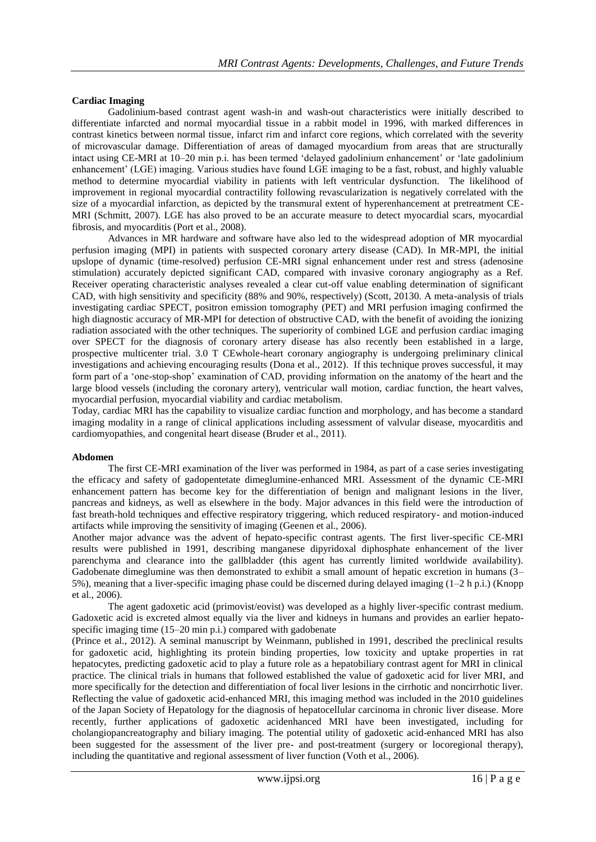## **Cardiac Imaging**

Gadolinium-based contrast agent wash-in and wash-out characteristics were initially described to differentiate infarcted and normal myocardial tissue in a rabbit model in 1996, with marked differences in contrast kinetics between normal tissue, infarct rim and infarct core regions, which correlated with the severity of microvascular damage. Differentiation of areas of damaged myocardium from areas that are structurally intact using CE-MRI at 10–20 min p.i. has been termed 'delayed gadolinium enhancement' or 'late gadolinium enhancement' (LGE) imaging. Various studies have found LGE imaging to be a fast, robust, and highly valuable method to determine myocardial viability in patients with left ventricular dysfunction. The likelihood of improvement in regional myocardial contractility following revascularization is negatively correlated with the size of a myocardial infarction, as depicted by the transmural extent of hyperenhancement at pretreatment CE-MRI (Schmitt, 2007). LGE has also proved to be an accurate measure to detect myocardial scars, myocardial fibrosis, and myocarditis (Port et al., 2008).

Advances in MR hardware and software have also led to the widespread adoption of MR myocardial perfusion imaging (MPI) in patients with suspected coronary artery disease (CAD). In MR-MPI, the initial upslope of dynamic (time-resolved) perfusion CE-MRI signal enhancement under rest and stress (adenosine stimulation) accurately depicted significant CAD, compared with invasive coronary angiography as a Ref. Receiver operating characteristic analyses revealed a clear cut-off value enabling determination of significant CAD, with high sensitivity and specificity (88% and 90%, respectively) (Scott, 20130. A meta-analysis of trials investigating cardiac SPECT, positron emission tomography (PET) and MRI perfusion imaging confirmed the high diagnostic accuracy of MR-MPI for detection of obstructive CAD, with the benefit of avoiding the ionizing radiation associated with the other techniques. The superiority of combined LGE and perfusion cardiac imaging over SPECT for the diagnosis of coronary artery disease has also recently been established in a large, prospective multicenter trial. 3.0 T CEwhole-heart coronary angiography is undergoing preliminary clinical investigations and achieving encouraging results (Dona et al., 2012). If this technique proves successful, it may form part of a 'one-stop-shop' examination of CAD, providing information on the anatomy of the heart and the large blood vessels (including the coronary artery), ventricular wall motion, cardiac function, the heart valves, myocardial perfusion, myocardial viability and cardiac metabolism.

Today, cardiac MRI has the capability to visualize cardiac function and morphology, and has become a standard imaging modality in a range of clinical applications including assessment of valvular disease, myocarditis and cardiomyopathies, and congenital heart disease (Bruder et al., 2011).

#### **Abdomen**

The first CE-MRI examination of the liver was performed in 1984, as part of a case series investigating the efficacy and safety of gadopentetate dimeglumine-enhanced MRI. Assessment of the dynamic CE-MRI enhancement pattern has become key for the differentiation of benign and malignant lesions in the liver, pancreas and kidneys, as well as elsewhere in the body. Major advances in this field were the introduction of fast breath-hold techniques and effective respiratory triggering, which reduced respiratory- and motion-induced artifacts while improving the sensitivity of imaging (Geenen et al., 2006).

Another major advance was the advent of hepato-specific contrast agents. The first liver-specific CE-MRI results were published in 1991, describing manganese dipyridoxal diphosphate enhancement of the liver parenchyma and clearance into the gallbladder (this agent has currently limited worldwide availability). Gadobenate dimeglumine was then demonstrated to exhibit a small amount of hepatic excretion in humans (3– 5%), meaning that a liver-specific imaging phase could be discerned during delayed imaging (1–2 h p.i.) (Knopp et al., 2006).

The agent gadoxetic acid (primovist/eovist) was developed as a highly liver-specific contrast medium. Gadoxetic acid is excreted almost equally via the liver and kidneys in humans and provides an earlier hepatospecific imaging time (15–20 min p.i.) compared with gadobenate

(Prince et al., 2012). A seminal manuscript by Weinmann, published in 1991, described the preclinical results for gadoxetic acid, highlighting its protein binding properties, low toxicity and uptake properties in rat hepatocytes, predicting gadoxetic acid to play a future role as a hepatobiliary contrast agent for MRI in clinical practice. The clinical trials in humans that followed established the value of gadoxetic acid for liver MRI, and more specifically for the detection and differentiation of focal liver lesions in the cirrhotic and noncirrhotic liver. Reflecting the value of gadoxetic acid-enhanced MRI, this imaging method was included in the 2010 guidelines of the Japan Society of Hepatology for the diagnosis of hepatocellular carcinoma in chronic liver disease. More recently, further applications of gadoxetic acidenhanced MRI have been investigated, including for cholangiopancreatography and biliary imaging. The potential utility of gadoxetic acid-enhanced MRI has also been suggested for the assessment of the liver pre- and post-treatment (surgery or locoregional therapy), including the quantitative and regional assessment of liver function (Voth et al., 2006).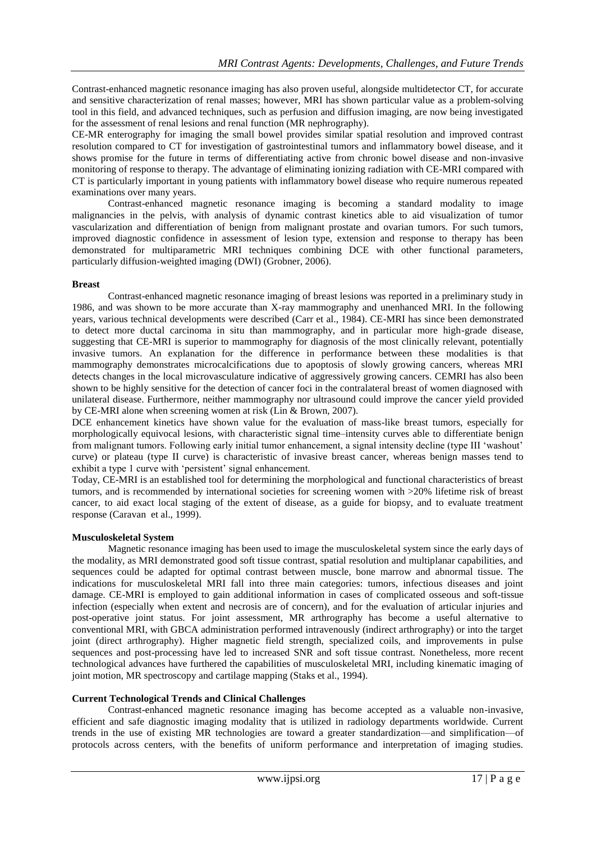Contrast-enhanced magnetic resonance imaging has also proven useful, alongside multidetector CT, for accurate and sensitive characterization of renal masses; however, MRI has shown particular value as a problem-solving tool in this field, and advanced techniques, such as perfusion and diffusion imaging, are now being investigated for the assessment of renal lesions and renal function (MR nephrography).

CE-MR enterography for imaging the small bowel provides similar spatial resolution and improved contrast resolution compared to CT for investigation of gastrointestinal tumors and inflammatory bowel disease, and it shows promise for the future in terms of differentiating active from chronic bowel disease and non-invasive monitoring of response to therapy. The advantage of eliminating ionizing radiation with CE-MRI compared with CT is particularly important in young patients with inflammatory bowel disease who require numerous repeated examinations over many years.

Contrast-enhanced magnetic resonance imaging is becoming a standard modality to image malignancies in the pelvis, with analysis of dynamic contrast kinetics able to aid visualization of tumor vascularization and differentiation of benign from malignant prostate and ovarian tumors. For such tumors, improved diagnostic confidence in assessment of lesion type, extension and response to therapy has been demonstrated for multiparametric MRI techniques combining DCE with other functional parameters, particularly diffusion-weighted imaging (DWI) (Grobner, 2006).

## **Breast**

Contrast-enhanced magnetic resonance imaging of breast lesions was reported in a preliminary study in 1986, and was shown to be more accurate than X-ray mammography and unenhanced MRI. In the following years, various technical developments were described (Carr et al., 1984). CE-MRI has since been demonstrated to detect more ductal carcinoma in situ than mammography, and in particular more high-grade disease, suggesting that CE-MRI is superior to mammography for diagnosis of the most clinically relevant, potentially invasive tumors. An explanation for the difference in performance between these modalities is that mammography demonstrates microcalcifications due to apoptosis of slowly growing cancers, whereas MRI detects changes in the local microvasculature indicative of aggressively growing cancers. CEMRI has also been shown to be highly sensitive for the detection of cancer foci in the contralateral breast of women diagnosed with unilateral disease. Furthermore, neither mammography nor ultrasound could improve the cancer yield provided by CE-MRI alone when screening women at risk (Lin & Brown, 2007).

DCE enhancement kinetics have shown value for the evaluation of mass-like breast tumors, especially for morphologically equivocal lesions, with characteristic signal time–intensity curves able to differentiate benign from malignant tumors. Following early initial tumor enhancement, a signal intensity decline (type III ‗washout' curve) or plateau (type II curve) is characteristic of invasive breast cancer, whereas benign masses tend to exhibit a type 1 curve with 'persistent' signal enhancement.

Today, CE-MRI is an established tool for determining the morphological and functional characteristics of breast tumors, and is recommended by international societies for screening women with >20% lifetime risk of breast cancer, to aid exact local staging of the extent of disease, as a guide for biopsy, and to evaluate treatment response (Caravan et al., 1999).

#### **Musculoskeletal System**

Magnetic resonance imaging has been used to image the musculoskeletal system since the early days of the modality, as MRI demonstrated good soft tissue contrast, spatial resolution and multiplanar capabilities, and sequences could be adapted for optimal contrast between muscle, bone marrow and abnormal tissue. The indications for musculoskeletal MRI fall into three main categories: tumors, infectious diseases and joint damage. CE-MRI is employed to gain additional information in cases of complicated osseous and soft-tissue infection (especially when extent and necrosis are of concern), and for the evaluation of articular injuries and post-operative joint status. For joint assessment, MR arthrography has become a useful alternative to conventional MRI, with GBCA administration performed intravenously (indirect arthrography) or into the target joint (direct arthrography). Higher magnetic field strength, specialized coils, and improvements in pulse sequences and post-processing have led to increased SNR and soft tissue contrast. Nonetheless, more recent technological advances have furthered the capabilities of musculoskeletal MRI, including kinematic imaging of joint motion, MR spectroscopy and cartilage mapping (Staks et al., 1994).

## **Current Technological Trends and Clinical Challenges**

Contrast-enhanced magnetic resonance imaging has become accepted as a valuable non-invasive, efficient and safe diagnostic imaging modality that is utilized in radiology departments worldwide. Current trends in the use of existing MR technologies are toward a greater standardization—and simplification—of protocols across centers, with the benefits of uniform performance and interpretation of imaging studies.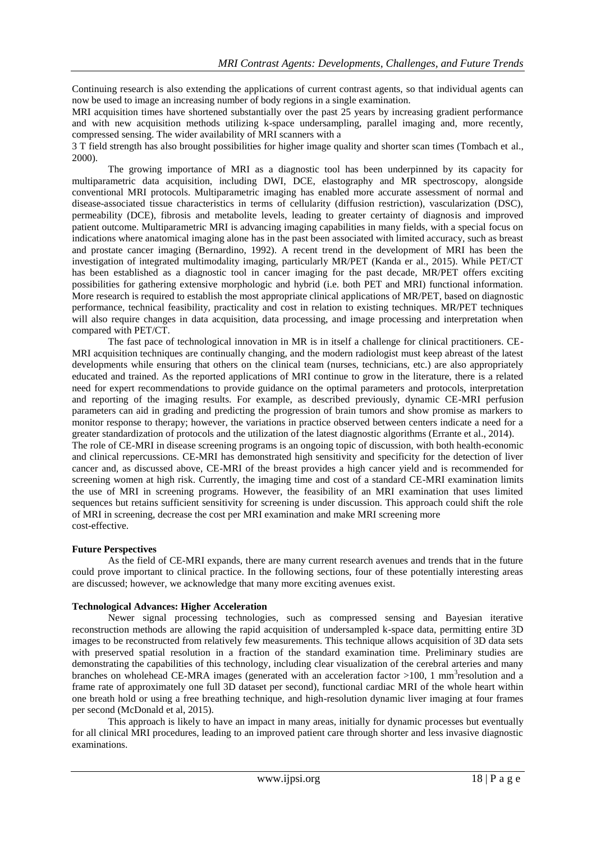Continuing research is also extending the applications of current contrast agents, so that individual agents can now be used to image an increasing number of body regions in a single examination.

MRI acquisition times have shortened substantially over the past 25 years by increasing gradient performance and with new acquisition methods utilizing k-space undersampling, parallel imaging and, more recently, compressed sensing. The wider availability of MRI scanners with a

3 T field strength has also brought possibilities for higher image quality and shorter scan times (Tombach et al., 2000).

The growing importance of MRI as a diagnostic tool has been underpinned by its capacity for multiparametric data acquisition, including DWI, DCE, elastography and MR spectroscopy, alongside conventional MRI protocols. Multiparametric imaging has enabled more accurate assessment of normal and disease-associated tissue characteristics in terms of cellularity (diffusion restriction), vascularization (DSC), permeability (DCE), fibrosis and metabolite levels, leading to greater certainty of diagnosis and improved patient outcome. Multiparametric MRI is advancing imaging capabilities in many fields, with a special focus on indications where anatomical imaging alone has in the past been associated with limited accuracy, such as breast and prostate cancer imaging (Bernardino, 1992). A recent trend in the development of MRI has been the investigation of integrated multimodality imaging, particularly MR/PET (Kanda er al., 2015). While PET/CT has been established as a diagnostic tool in cancer imaging for the past decade, MR/PET offers exciting possibilities for gathering extensive morphologic and hybrid (i.e. both PET and MRI) functional information. More research is required to establish the most appropriate clinical applications of MR/PET, based on diagnostic performance, technical feasibility, practicality and cost in relation to existing techniques. MR/PET techniques will also require changes in data acquisition, data processing, and image processing and interpretation when compared with PET/CT.

The fast pace of technological innovation in MR is in itself a challenge for clinical practitioners. CE-MRI acquisition techniques are continually changing, and the modern radiologist must keep abreast of the latest developments while ensuring that others on the clinical team (nurses, technicians, etc.) are also appropriately educated and trained. As the reported applications of MRI continue to grow in the literature, there is a related need for expert recommendations to provide guidance on the optimal parameters and protocols, interpretation and reporting of the imaging results. For example, as described previously, dynamic CE-MRI perfusion parameters can aid in grading and predicting the progression of brain tumors and show promise as markers to monitor response to therapy; however, the variations in practice observed between centers indicate a need for a greater standardization of protocols and the utilization of the latest diagnostic algorithms (Errante et al., 2014). The role of CE-MRI in disease screening programs is an ongoing topic of discussion, with both health-economic

and clinical repercussions. CE-MRI has demonstrated high sensitivity and specificity for the detection of liver cancer and, as discussed above, CE-MRI of the breast provides a high cancer yield and is recommended for screening women at high risk. Currently, the imaging time and cost of a standard CE-MRI examination limits the use of MRI in screening programs. However, the feasibility of an MRI examination that uses limited sequences but retains sufficient sensitivity for screening is under discussion. This approach could shift the role of MRI in screening, decrease the cost per MRI examination and make MRI screening more cost-effective.

#### **Future Perspectives**

As the field of CE-MRI expands, there are many current research avenues and trends that in the future could prove important to clinical practice. In the following sections, four of these potentially interesting areas are discussed; however, we acknowledge that many more exciting avenues exist.

#### **Technological Advances: Higher Acceleration**

Newer signal processing technologies, such as compressed sensing and Bayesian iterative reconstruction methods are allowing the rapid acquisition of undersampled k-space data, permitting entire 3D images to be reconstructed from relatively few measurements. This technique allows acquisition of 3D data sets with preserved spatial resolution in a fraction of the standard examination time. Preliminary studies are demonstrating the capabilities of this technology, including clear visualization of the cerebral arteries and many branches on wholehead CE-MRA images (generated with an acceleration factor  $>100$ , 1 mm<sup>3</sup>resolution and a frame rate of approximately one full 3D dataset per second), functional cardiac MRI of the whole heart within one breath hold or using a free breathing technique, and high-resolution dynamic liver imaging at four frames per second (McDonald et al, 2015).

This approach is likely to have an impact in many areas, initially for dynamic processes but eventually for all clinical MRI procedures, leading to an improved patient care through shorter and less invasive diagnostic examinations.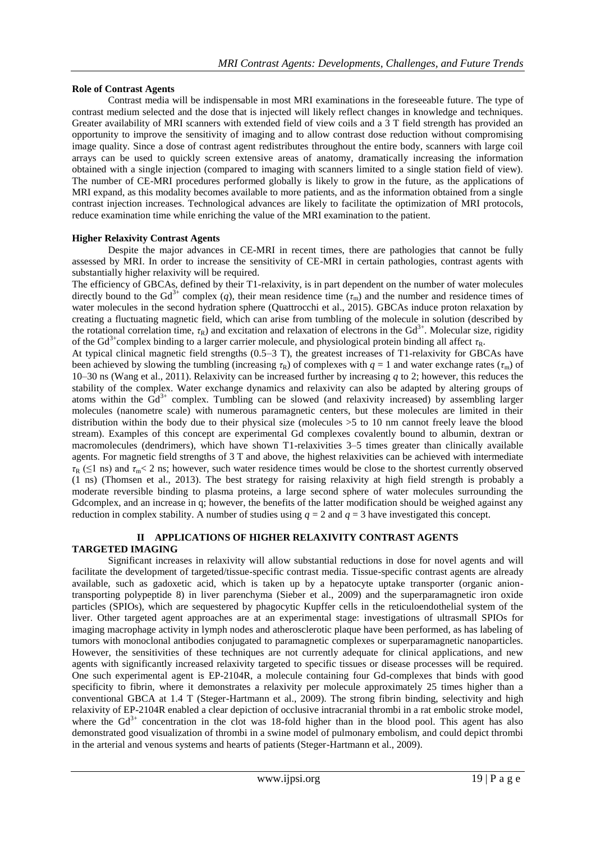## **Role of Contrast Agents**

Contrast media will be indispensable in most MRI examinations in the foreseeable future. The type of contrast medium selected and the dose that is injected will likely reflect changes in knowledge and techniques. Greater availability of MRI scanners with extended field of view coils and a 3 T field strength has provided an opportunity to improve the sensitivity of imaging and to allow contrast dose reduction without compromising image quality. Since a dose of contrast agent redistributes throughout the entire body, scanners with large coil arrays can be used to quickly screen extensive areas of anatomy, dramatically increasing the information obtained with a single injection (compared to imaging with scanners limited to a single station field of view). The number of CE-MRI procedures performed globally is likely to grow in the future, as the applications of MRI expand, as this modality becomes available to more patients, and as the information obtained from a single contrast injection increases. Technological advances are likely to facilitate the optimization of MRI protocols, reduce examination time while enriching the value of the MRI examination to the patient.

#### **Higher Relaxivity Contrast Agents**

Despite the major advances in CE-MRI in recent times, there are pathologies that cannot be fully assessed by MRI. In order to increase the sensitivity of CE-MRI in certain pathologies, contrast agents with substantially higher relaxivity will be required.

The efficiency of GBCAs, defined by their T1-relaxivity, is in part dependent on the number of water molecules directly bound to the Gd<sup>3+</sup> complex (*q*), their mean residence time ( $\tau_m$ ) and the number and residence times of water molecules in the second hydration sphere (Quattrocchi et al., 2015). GBCAs induce proton relaxation by creating a fluctuating magnetic field, which can arise from tumbling of the molecule in solution (described by the rotational correlation time,  $\tau_R$ ) and excitation and relaxation of electrons in the Gd<sup>3+</sup>. Molecular size, rigidity of the Gd<sup>3+</sup>complex binding to a larger carrier molecule, and physiological protein binding all affect  $\tau_R$ .

At typical clinical magnetic field strengths (0.5–3 T), the greatest increases of T1-relaxivity for GBCAs have been achieved by slowing the tumbling (increasing  $\tau_R$ ) of complexes with  $q = 1$  and water exchange rates ( $\tau_m$ ) of 10–30 ns (Wang et al., 2011). Relaxivity can be increased further by increasing *q* to 2; however, this reduces the stability of the complex. Water exchange dynamics and relaxivity can also be adapted by altering groups of atoms within the  $Gd^{3+}$  complex. Tumbling can be slowed (and relaxivity increased) by assembling larger molecules (nanometre scale) with numerous paramagnetic centers, but these molecules are limited in their distribution within the body due to their physical size (molecules >5 to 10 nm cannot freely leave the blood stream). Examples of this concept are experimental Gd complexes covalently bound to albumin, dextran or macromolecules (dendrimers), which have shown T1-relaxivities 3–5 times greater than clinically available agents. For magnetic field strengths of 3 T and above, the highest relaxivities can be achieved with intermediate *τ*<sup>R</sup> (≤1 ns) and *τ*m< 2 ns; however, such water residence times would be close to the shortest currently observed (1 ns) (Thomsen et al., 2013). The best strategy for raising relaxivity at high field strength is probably a moderate reversible binding to plasma proteins, a large second sphere of water molecules surrounding the Gdcomplex, and an increase in q; however, the benefits of the latter modification should be weighed against any reduction in complex stability. A number of studies using  $q = 2$  and  $q = 3$  have investigated this concept.

## **II APPLICATIONS OF HIGHER RELAXIVITY CONTRAST AGENTS TARGETED IMAGING**

Significant increases in relaxivity will allow substantial reductions in dose for novel agents and will facilitate the development of targeted/tissue-specific contrast media. Tissue-specific contrast agents are already available, such as gadoxetic acid, which is taken up by a hepatocyte uptake transporter (organic aniontransporting polypeptide 8) in liver parenchyma (Sieber et al., 2009) and the superparamagnetic iron oxide particles (SPIOs), which are sequestered by phagocytic Kupffer cells in the reticuloendothelial system of the liver. Other targeted agent approaches are at an experimental stage: investigations of ultrasmall SPIOs for imaging macrophage activity in lymph nodes and atherosclerotic plaque have been performed, as has labeling of tumors with monoclonal antibodies conjugated to paramagnetic complexes or superparamagnetic nanoparticles. However, the sensitivities of these techniques are not currently adequate for clinical applications, and new agents with significantly increased relaxivity targeted to specific tissues or disease processes will be required. One such experimental agent is EP-2104R, a molecule containing four Gd-complexes that binds with good specificity to fibrin, where it demonstrates a relaxivity per molecule approximately 25 times higher than a conventional GBCA at 1.4 T (Steger-Hartmann et al., 2009). The strong fibrin binding, selectivity and high relaxivity of EP-2104R enabled a clear depiction of occlusive intracranial thrombi in a rat embolic stroke model, where the  $Gd<sup>3+</sup>$  concentration in the clot was 18-fold higher than in the blood pool. This agent has also demonstrated good visualization of thrombi in a swine model of pulmonary embolism, and could depict thrombi in the arterial and venous systems and hearts of patients (Steger-Hartmann et al., 2009).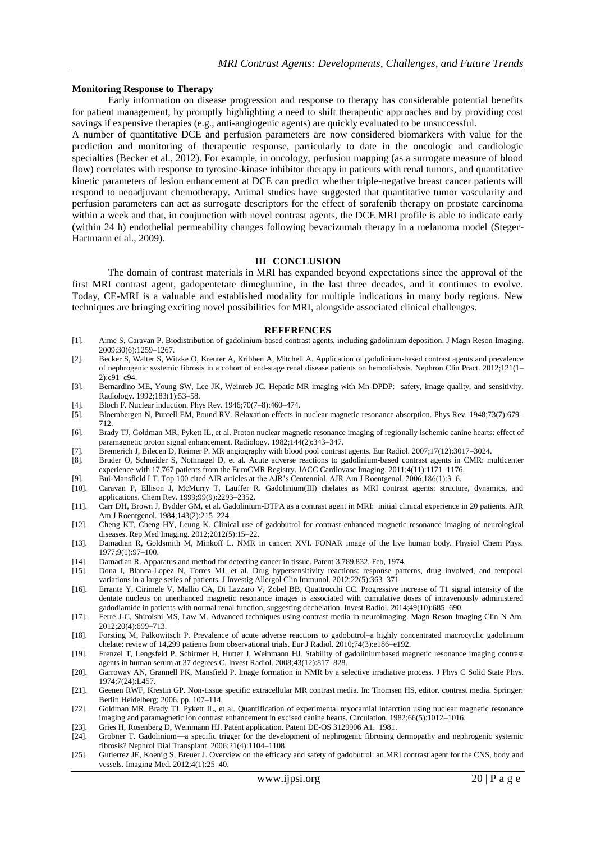#### **Monitoring Response to Therapy**

Early information on disease progression and response to therapy has considerable potential benefits for patient management, by promptly highlighting a need to shift therapeutic approaches and by providing cost savings if expensive therapies (e.g., anti-angiogenic agents) are quickly evaluated to be unsuccessful.

A number of quantitative DCE and perfusion parameters are now considered biomarkers with value for the prediction and monitoring of therapeutic response, particularly to date in the oncologic and cardiologic specialties (Becker et al., 2012). For example, in oncology, perfusion mapping (as a surrogate measure of blood flow) correlates with response to tyrosine-kinase inhibitor therapy in patients with renal tumors, and quantitative kinetic parameters of lesion enhancement at DCE can predict whether triple-negative breast cancer patients will respond to neoadjuvant chemotherapy. Animal studies have suggested that quantitative tumor vascularity and perfusion parameters can act as surrogate descriptors for the effect of sorafenib therapy on prostate carcinoma within a week and that, in conjunction with novel contrast agents, the DCE MRI profile is able to indicate early (within 24 h) endothelial permeability changes following bevacizumab therapy in a melanoma model (Steger-Hartmann et al., 2009).

#### **III CONCLUSION**

The domain of contrast materials in MRI has expanded beyond expectations since the approval of the first MRI contrast agent, gadopentetate dimeglumine, in the last three decades, and it continues to evolve. Today, CE-MRI is a valuable and established modality for multiple indications in many body regions. New techniques are bringing exciting novel possibilities for MRI, alongside associated clinical challenges.

#### **REFERENCES**

- [1]. Aime S, Caravan P. Biodistribution of gadolinium-based contrast agents, including gadolinium deposition. J Magn Reson Imaging. 2009;30(6):1259–1267.
- [2]. Becker S, Walter S, Witzke O, Kreuter A, Kribben A, Mitchell A. Application of gadolinium-based contrast agents and prevalence of nephrogenic systemic fibrosis in a cohort of end-stage renal disease patients on hemodialysis. Nephron Clin Pract. 2012;121(1– 2):c91–c94.
- [3]. Bernardino ME, Young SW, Lee JK, Weinreb JC. Hepatic MR imaging with Mn-DPDP: safety, image quality, and sensitivity. Radiology. 1992;183(1):53–58.
- [4]. Bloch F. Nuclear induction. Phys Rev. 1946;70(7–8):460–474.
- [5]. Bloembergen N, Purcell EM, Pound RV. Relaxation effects in nuclear magnetic resonance absorption. Phys Rev. 1948;73(7):679– 712.
- [6]. Brady TJ, Goldman MR, Pykett IL, et al. Proton nuclear magnetic resonance imaging of regionally ischemic canine hearts: effect of paramagnetic proton signal enhancement. Radiology. 1982;144(2):343–347.
- [7]. Bremerich J, Bilecen D, Reimer P. MR angiography with blood pool contrast agents. Eur Radiol. 2007;17(12):3017–3024.
- [8]. Bruder O, Schneider S, Nothnagel D, et al. Acute adverse reactions to gadolinium-based contrast agents in CMR: multicenter experience with 17,767 patients from the EuroCMR Registry. JACC Cardiovasc Imaging. 2011;4(11):1171–1176.
- [9]. Bui-Mansfield LT. Top 100 cited AJR articles at the AJR's Centennial. AJR Am J Roentgenol. 2006;186(1):3–6.
- [10]. Caravan P, Ellison J, McMurry T, Lauffer R. Gadolinium(III) chelates as MRI contrast agents: structure, dynamics, and applications. Chem Rev. 1999;99(9):2293–2352.
- [11]. Carr DH, Brown J, Bydder GM, et al. Gadolinium-DTPA as a contrast agent in MRI: initial clinical experience in 20 patients. AJR Am J Roentgenol. 1984;143(2):215–224.
- [12]. Cheng KT, Cheng HY, Leung K. Clinical use of gadobutrol for contrast-enhanced magnetic resonance imaging of neurological diseases. Rep Med Imaging. 2012;2012(5):15–22.
- [13]. Damadian R, Goldsmith M, Minkoff L. NMR in cancer: XVI. FONAR image of the live human body. Physiol Chem Phys. 1977;9(1):97–100.
- [14]. Damadian R. Apparatus and method for detecting cancer in tissue. Patent 3,789,832. Feb, 1974.
- [15]. Dona I, Blanca-Lopez N, Torres MJ, et al. Drug hypersensitivity reactions: response patterns, drug involved, and temporal variations in a large series of patients. J Investig Allergol Clin Immunol. 2012;22(5):363–371
- [16]. Errante Y, Cirimele V, Mallio CA, Di Lazzaro V, Zobel BB, Quattrocchi CC. Progressive increase of T1 signal intensity of the dentate nucleus on unenhanced magnetic resonance images is associated with cumulative doses of intravenously administered gadodiamide in patients with normal renal function, suggesting dechelation. Invest Radiol. 2014;49(10):685–690.
- [17]. Ferré J-C, Shiroishi MS, Law M. Advanced techniques using contrast media in neuroimaging. Magn Reson Imaging Clin N Am. 2012;20(4):699–713.
- [18]. Forsting M, Palkowitsch P. Prevalence of acute adverse reactions to gadobutrol–a highly concentrated macrocyclic gadolinium chelate: review of 14,299 patients from observational trials. Eur J Radiol. 2010;74(3):e186–e192.
- [19]. Frenzel T, Lengsfeld P, Schirmer H, Hutter J, Weinmann HJ. Stability of gadoliniumbased magnetic resonance imaging contrast agents in human serum at 37 degrees C. Invest Radiol. 2008;43(12):817–828.
- [20]. Garroway AN, Grannell PK, Mansfield P. Image formation in NMR by a selective irradiative process. J Phys C Solid State Phys. 1974;7(24):L457.
- [21]. Geenen RWF, Krestin GP. Non-tissue specific extracellular MR contrast media. In: Thomsen HS, editor. contrast media. Springer: Berlin Heidelberg; 2006. pp. 107–114.
- [22]. Goldman MR, Brady TJ, Pykett IL, et al. Quantification of experimental myocardial infarction using nuclear magnetic resonance imaging and paramagnetic ion contrast enhancement in excised canine hearts. Circulation. 1982;66(5):1012–1016.
- [23]. Gries H, Rosenberg D, Weinmann HJ. Patent application. Patent DE-OS 3129906 A1. 1981.
- [24]. Grobner T. Gadolinium—a specific trigger for the development of nephrogenic fibrosing dermopathy and nephrogenic systemic fibrosis? Nephrol Dial Transplant. 2006;21(4):1104–1108.
- [25]. Gutierrez JE, Koenig S, Breuer J. Overview on the efficacy and safety of gadobutrol: an MRI contrast agent for the CNS, body and vessels. Imaging Med. 2012;4(1):25–40.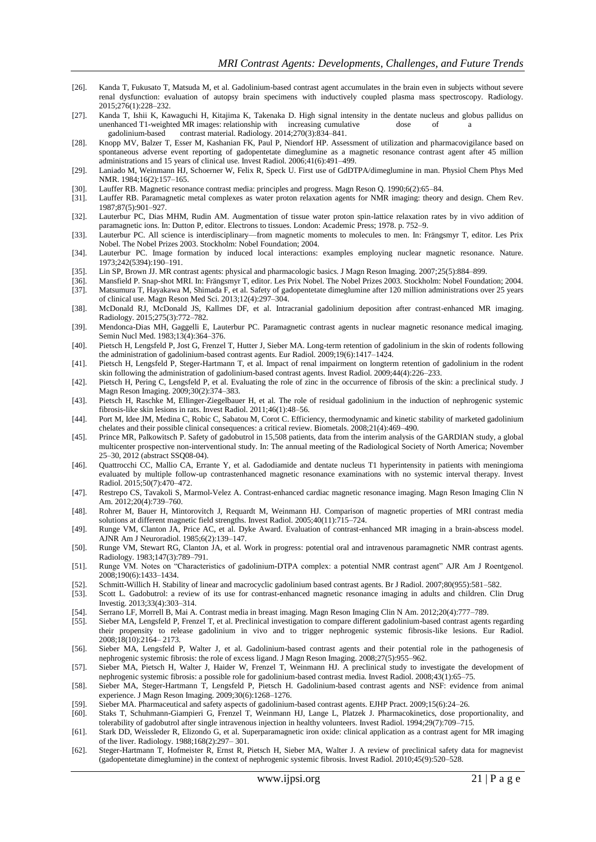- [26]. Kanda T, Fukusato T, Matsuda M, et al. Gadolinium-based contrast agent accumulates in the brain even in subjects without severe renal dysfunction: evaluation of autopsy brain specimens with inductively coupled plasma mass spectroscopy. Radiology. 2015;276(1):228–232.
- [27]. Kanda T, Ishii K, Kawaguchi H, Kitajima K, Takenaka D. High signal intensity in the dentate nucleus and globus pallidus on unenhanced T1-weighted MR images: relationship with increasing cumulative dose of a gadolinium-based contrast material. Radiology. 2014;270(3):834–841.
- [28]. Knopp MV, Balzer T, Esser M, Kashanian FK, Paul P, Niendorf HP. Assessment of utilization and pharmacovigilance based on spontaneous adverse event reporting of gadopentetate dimeglumine as a magnetic resonance contrast agent after 45 million administrations and 15 years of clinical use. Invest Radiol. 2006;41(6):491–499.
- [29]. Laniado M, Weinmann HJ, Schoerner W, Felix R, Speck U. First use of GdDTPA/dimeglumine in man. Physiol Chem Phys Med NMR. 1984;16(2):157–165.
- [30]. Lauffer RB. Magnetic resonance contrast media: principles and progress. Magn Reson Q. 1990;6(2):65–84.
- [31]. Lauffer RB. Paramagnetic metal complexes as water proton relaxation agents for NMR imaging: theory and design. Chem Rev. 1987;87(5):901–927.
- [32]. Lauterbur PC, Dias MHM, Rudin AM. Augmentation of tissue water proton spin-lattice relaxation rates by in vivo addition of paramagnetic ions. In: Dutton P, editor. Electrons to tissues. London: Academic Press; 1978. p. 752–9.
- [33]. Lauterbur PC. All science is interdisciplinary—from magnetic moments to molecules to men. In: Frängsmyr T, editor. Les Prix Nobel. The Nobel Prizes 2003. Stockholm: Nobel Foundation; 2004.
- [34]. Lauterbur PC. Image formation by induced local interactions: examples employing nuclear magnetic resonance. Nature. 1973;242(5394):190–191.
- [35]. Lin SP, Brown JJ. MR contrast agents: physical and pharmacologic basics. J Magn Reson Imaging. 2007;25(5):884–899.
- [36]. Mansfield P. Snap-shot MRI. In: Frängsmyr T, editor. Les Prix Nobel. The Nobel Prizes 2003. Stockholm: Nobel Foundation; 2004.
- [37]. Matsumura T, Hayakawa M, Shimada F, et al. Safety of gadopentetate dimeglumine after 120 million administrations over 25 years of clinical use. Magn Reson Med Sci. 2013;12(4):297–304.
- [38]. McDonald RJ, McDonald JS, Kallmes DF, et al. Intracranial gadolinium deposition after contrast-enhanced MR imaging. Radiology. 2015;275(3):772–782.
- [39]. Mendonca-Dias MH, Gaggelli E, Lauterbur PC. Paramagnetic contrast agents in nuclear magnetic resonance medical imaging. Semin Nucl Med. 1983;13(4):364–376.
- [40]. Pietsch H, Lengsfeld P, Jost G, Frenzel T, Hutter J, Sieber MA. Long-term retention of gadolinium in the skin of rodents following the administration of gadolinium-based contrast agents. Eur Radiol. 2009;19(6):1417–1424.
- [41]. Pietsch H, Lengsfeld P, Steger-Hartmann T, et al. Impact of renal impairment on longterm retention of gadolinium in the rodent skin following the administration of gadolinium-based contrast agents. Invest Radiol. 2009;44(4):226–233.
- [42]. Pietsch H, Pering C, Lengsfeld P, et al. Evaluating the role of zinc in the occurrence of fibrosis of the skin: a preclinical study. J Magn Reson Imaging. 2009;30(2):374–383.
- [43]. Pietsch H, Raschke M, Ellinger-Ziegelbauer H, et al. The role of residual gadolinium in the induction of nephrogenic systemic fibrosis-like skin lesions in rats. Invest Radiol. 2011;46(1):48–56.
- [44]. Port M, Idee JM, Medina C, Robic C, Sabatou M, Corot C. Efficiency, thermodynamic and kinetic stability of marketed gadolinium chelates and their possible clinical consequences: a critical review. Biometals. 2008;21(4):469–490.
- [45]. Prince MR, Palkowitsch P. Safety of gadobutrol in 15,508 patients, data from the interim analysis of the GARDIAN study, a global multicenter prospective non-interventional study. In: The annual meeting of the Radiological Society of North America; November 25–30, 2012 (abstract SSQ08-04).
- [46]. Quattrocchi CC, Mallio CA, Errante Y, et al. Gadodiamide and dentate nucleus T1 hyperintensity in patients with meningioma evaluated by multiple follow-up contrastenhanced magnetic resonance examinations with no systemic interval therapy. Invest Radiol. 2015;50(7):470–472.
- [47]. Restrepo CS, Tavakoli S, Marmol-Velez A. Contrast-enhanced cardiac magnetic resonance imaging. Magn Reson Imaging Clin N Am. 2012;20(4):739–760.
- [48]. Rohrer M, Bauer H, Mintorovitch J, Requardt M, Weinmann HJ. Comparison of magnetic properties of MRI contrast media solutions at different magnetic field strengths. Invest Radiol. 2005;40(11):715–724.
- [49]. Runge VM, Clanton JA, Price AC, et al. Dyke Award. Evaluation of contrast-enhanced MR imaging in a brain-abscess model. AJNR Am J Neuroradiol. 1985;6(2):139–147.
- [50]. Runge VM, Stewart RG, Clanton JA, et al. Work in progress: potential oral and intravenous paramagnetic NMR contrast agents. Radiology. 1983;147(3):789–791.
- [51]. Runge VM. Notes on "Characteristics of gadolinium-DTPA complex: a potential NMR contrast agent" AJR Am J Roentgenol. 2008;190(6):1433–1434.
- [52]. Schmitt-Willich H. Stability of linear and macrocyclic gadolinium based contrast agents. Br J Radiol. 2007;80(955):581–582.
- [53]. Scott L. Gadobutrol: a review of its use for contrast-enhanced magnetic resonance imaging in adults and children. Clin Drug Investig. 2013;33(4):303–314.
- [54]. Serrano LF, Morrell B, Mai A. Contrast media in breast imaging. Magn Reson Imaging Clin N Am. 2012;20(4):777–789.
- [55]. Sieber MA, Lengsfeld P, Frenzel T, et al. Preclinical investigation to compare different gadolinium-based contrast agents regarding their propensity to release gadolinium in vivo and to trigger nephrogenic systemic fibrosis-like lesions. Eur Radiol. 2008;18(10):2164– 2173.
- [56]. Sieber MA, Lengsfeld P, Walter J, et al. Gadolinium-based contrast agents and their potential role in the pathogenesis of nephrogenic systemic fibrosis: the role of excess ligand. J Magn Reson Imaging. 2008;27(5):955–962.
- [57]. Sieber MA, Pietsch H, Walter J, Haider W, Frenzel T, Weinmann HJ. A preclinical study to investigate the development of nephrogenic systemic fibrosis: a possible role for gadolinium-based contrast media. Invest Radiol. 2008;43(1):65–75.
- [58]. Sieber MA, Steger-Hartmann T, Lengsfeld P, Pietsch H. Gadolinium-based contrast agents and NSF: evidence from animal experience. J Magn Reson Imaging. 2009;30(6):1268–1276.
- [59]. Sieber MA. Pharmaceutical and safety aspects of gadolinium-based contrast agents. EJHP Pract. 2009;15(6):24–26.
- [60]. Staks T, Schuhmann-Giampieri G, Frenzel T, Weinmann HJ, Lange L, Platzek J. Pharmacokinetics, dose proportionality, and tolerability of gadobutrol after single intravenous injection in healthy volunteers. Invest Radiol. 1994;29(7):709–715.
- [61]. Stark DD, Weissleder R, Elizondo G, et al. Superparamagnetic iron oxide: clinical application as a contrast agent for MR imaging of the liver. Radiology. 1988;168(2):297– 301.
- [62]. Steger-Hartmann T, Hofmeister R, Ernst R, Pietsch H, Sieber MA, Walter J. A review of preclinical safety data for magnevist (gadopentetate dimeglumine) in the context of nephrogenic systemic fibrosis. Invest Radiol. 2010;45(9):520–528.